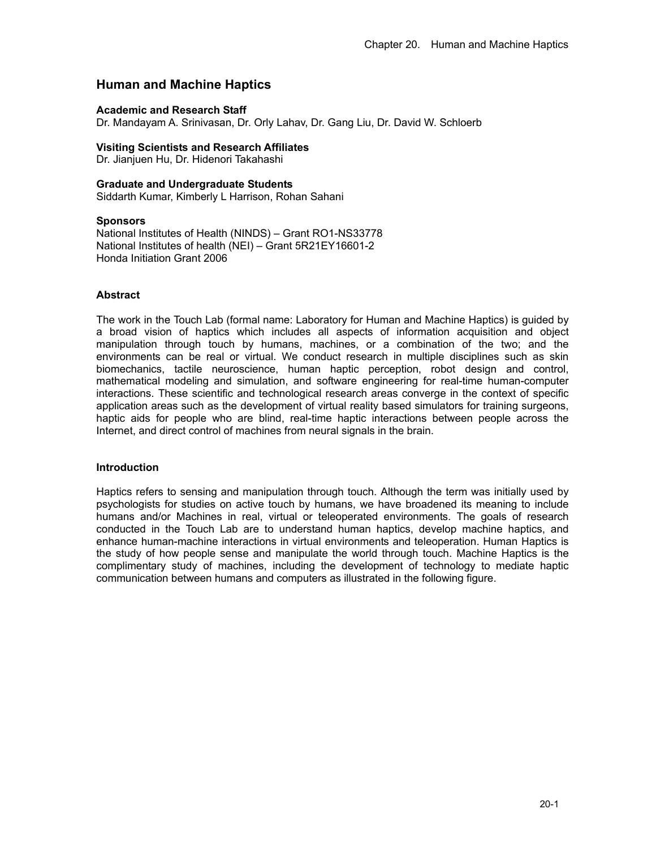# **Human and Machine Haptics**

### **Academic and Research Staff**

Dr. Mandayam A. Srinivasan, Dr. Orly Lahav, Dr. Gang Liu, Dr. David W. Schloerb

### **Visiting Scientists and Research Affiliates**

Dr. Jianjuen Hu, Dr. Hidenori Takahashi

### **Graduate and Undergraduate Students**

Siddarth Kumar, Kimberly L Harrison, Rohan Sahani

### **Sponsors**

National Institutes of Health (NINDS) – Grant RO1-NS33778 National Institutes of health (NEI) – Grant 5R21EY16601-2 Honda Initiation Grant 2006

### **Abstract**

The work in the Touch Lab (formal name: Laboratory for Human and Machine Haptics) is guided by a broad vision of haptics which includes all aspects of information acquisition and object manipulation through touch by humans, machines, or a combination of the two; and the environments can be real or virtual. We conduct research in multiple disciplines such as skin biomechanics, tactile neuroscience, human haptic perception, robot design and control, mathematical modeling and simulation, and software engineering for real-time human-computer interactions. These scientific and technological research areas converge in the context of specific application areas such as the development of virtual reality based simulators for training surgeons, haptic aids for people who are blind, real-time haptic interactions between people across the Internet, and direct control of machines from neural signals in the brain.

### **Introduction**

Haptics refers to sensing and manipulation through touch. Although the term was initially used by psychologists for studies on active touch by humans, we have broadened its meaning to include humans and/or Machines in real, virtual or teleoperated environments. The goals of research conducted in the Touch Lab are to understand human haptics, develop machine haptics, and enhance human-machine interactions in virtual environments and teleoperation. Human Haptics is the study of how people sense and manipulate the world through touch. Machine Haptics is the complimentary study of machines, including the development of technology to mediate haptic communication between humans and computers as illustrated in the following figure.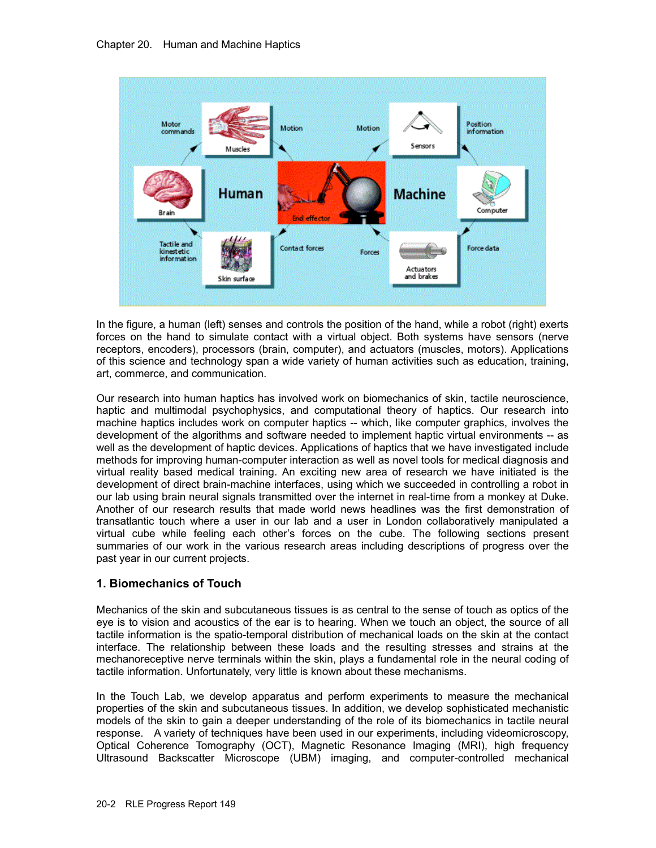

In the figure, a human (left) senses and controls the position of the hand, while a robot (right) exerts forces on the hand to simulate contact with a virtual object. Both systems have sensors (nerve receptors, encoders), processors (brain, computer), and actuators (muscles, motors). Applications of this science and technology span a wide variety of human activities such as education, training, art, commerce, and communication.

Our research into human haptics has involved work on biomechanics of skin, tactile neuroscience, haptic and multimodal psychophysics, and computational theory of haptics. Our research into machine haptics includes work on computer haptics -- which, like computer graphics, involves the development of the algorithms and software needed to implement haptic virtual environments -- as well as the development of haptic devices. Applications of haptics that we have investigated include methods for improving human-computer interaction as well as novel tools for medical diagnosis and virtual reality based medical training. An exciting new area of research we have initiated is the development of direct brain-machine interfaces, using which we succeeded in controlling a robot in our lab using brain neural signals transmitted over the internet in real-time from a monkey at Duke. Another of our research results that made world news headlines was the first demonstration of transatlantic touch where a user in our lab and a user in London collaboratively manipulated a virtual cube while feeling each other's forces on the cube. The following sections present summaries of our work in the various research areas including descriptions of progress over the past year in our current projects.

## **1. Biomechanics of Touch**

Mechanics of the skin and subcutaneous tissues is as central to the sense of touch as optics of the eye is to vision and acoustics of the ear is to hearing. When we touch an object, the source of all tactile information is the spatio-temporal distribution of mechanical loads on the skin at the contact interface. The relationship between these loads and the resulting stresses and strains at the mechanoreceptive nerve terminals within the skin, plays a fundamental role in the neural coding of tactile information. Unfortunately, very little is known about these mechanisms.

In the Touch Lab, we develop apparatus and perform experiments to measure the mechanical properties of the skin and subcutaneous tissues. In addition, we develop sophisticated mechanistic models of the skin to gain a deeper understanding of the role of its biomechanics in tactile neural response. A variety of techniques have been used in our experiments, including videomicroscopy, Optical Coherence Tomography (OCT), Magnetic Resonance Imaging (MRI), high frequency Ultrasound Backscatter Microscope (UBM) imaging, and computer-controlled mechanical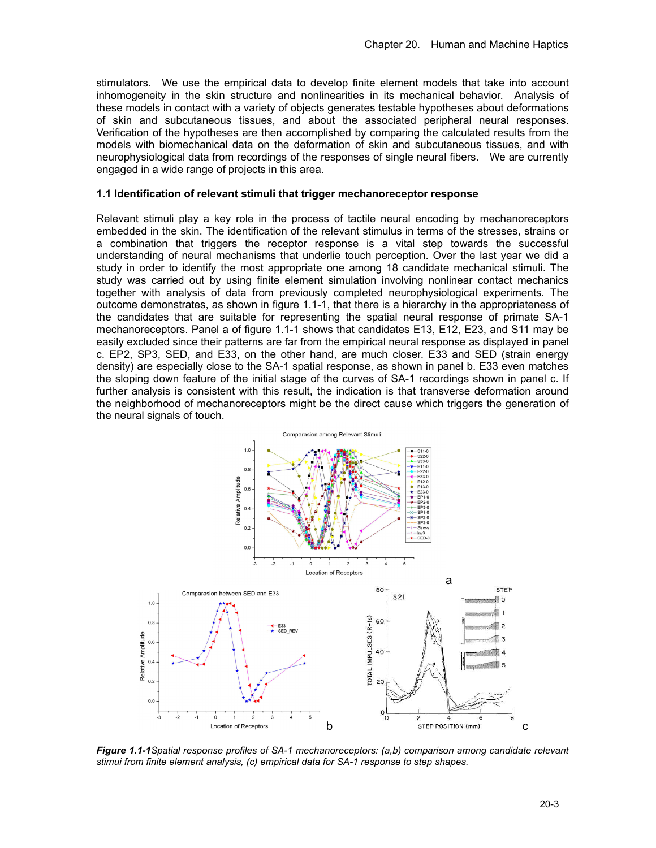stimulators. We use the empirical data to develop finite element models that take into account inhomogeneity in the skin structure and nonlinearities in its mechanical behavior. Analysis of these models in contact with a variety of objects generates testable hypotheses about deformations of skin and subcutaneous tissues, and about the associated peripheral neural responses. Verification of the hypotheses are then accomplished by comparing the calculated results from the models with biomechanical data on the deformation of skin and subcutaneous tissues, and with neurophysiological data from recordings of the responses of single neural fibers. We are currently engaged in a wide range of projects in this area.

#### **1.1 Identification of relevant stimuli that trigger mechanoreceptor response**

Relevant stimuli play a key role in the process of tactile neural encoding by mechanoreceptors embedded in the skin. The identification of the relevant stimulus in terms of the stresses, strains or a combination that triggers the receptor response is a vital step towards the successful understanding of neural mechanisms that underlie touch perception. Over the last year we did a study in order to identify the most appropriate one among 18 candidate mechanical stimuli. The study was carried out by using finite element simulation involving nonlinear contact mechanics together with analysis of data from previously completed neurophysiological experiments. The outcome demonstrates, as shown in figure 1.1-1, that there is a hierarchy in the appropriateness of the candidates that are suitable for representing the spatial neural response of primate SA-1 mechanoreceptors. Panel a of figure 1.1-1 shows that candidates E13, E12, E23, and S11 may be easily excluded since their patterns are far from the empirical neural response as displayed in panel c. EP2, SP3, SED, and E33, on the other hand, are much closer. E33 and SED (strain energy density) are especially close to the SA-1 spatial response, as shown in panel b. E33 even matches the sloping down feature of the initial stage of the curves of SA-1 recordings shown in panel c. If further analysis is consistent with this result, the indication is that transverse deformation around the neighborhood of mechanoreceptors might be the direct cause which triggers the generation of the neural signals of touch.



*Figure 1.1-1Spatial response profiles of SA-1 mechanoreceptors: (a,b) comparison among candidate relevant stimui from finite element analysis, (c) empirical data for SA-1 response to step shapes.*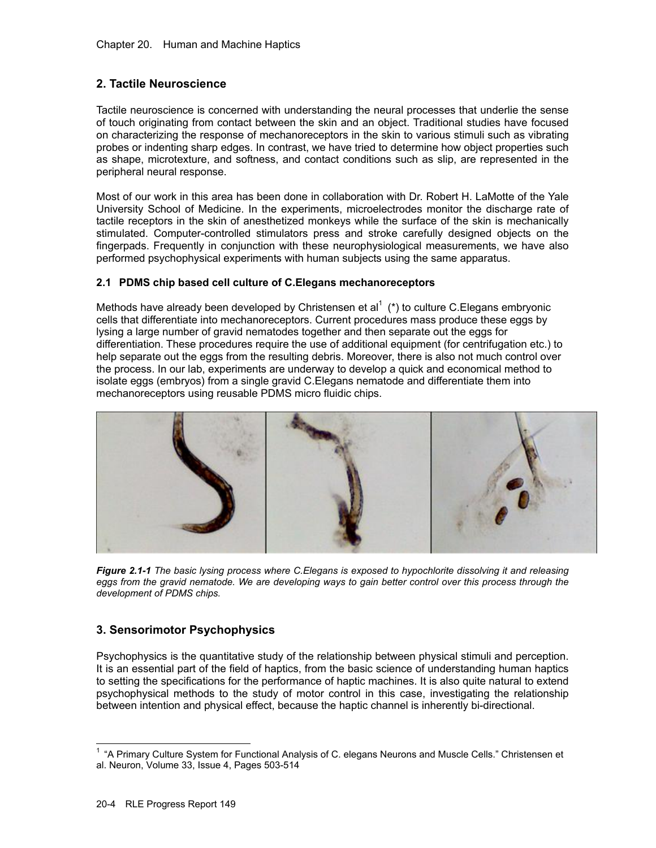# **2. Tactile Neuroscience**

Tactile neuroscience is concerned with understanding the neural processes that underlie the sense of touch originating from contact between the skin and an object. Traditional studies have focused on characterizing the response of mechanoreceptors in the skin to various stimuli such as vibrating probes or indenting sharp edges. In contrast, we have tried to determine how object properties such as shape, microtexture, and softness, and contact conditions such as slip, are represented in the peripheral neural response.

Most of our work in this area has been done in collaboration with Dr. Robert H. LaMotte of the Yale University School of Medicine. In the experiments, microelectrodes monitor the discharge rate of tactile receptors in the skin of anesthetized monkeys while the surface of the skin is mechanically stimulated. Computer-controlled stimulators press and stroke carefully designed objects on the fingerpads. Frequently in conjunction with these neurophysiological measurements, we have also performed psychophysical experiments with human subjects using the same apparatus.

### **2.1 PDMS chip based cell culture of C.Elegans mechanoreceptors**

Methods have already been developed by Christensen et al<sup>1</sup> (\*) to culture C.Elegans embryonic cells that differentiate into mechanoreceptors. Current procedures mass produce these eggs by lysing a large number of gravid nematodes together and then separate out the eggs for differentiation. These procedures require the use of additional equipment (for centrifugation etc.) to help separate out the eggs from the resulting debris. Moreover, there is also not much control over the process. In our lab, experiments are underway to develop a quick and economical method to isolate eggs (embryos) from a single gravid C.Elegans nematode and differentiate them into mechanoreceptors using reusable PDMS micro fluidic chips.



*Figure 2.1-1 The basic lysing process where C.Elegans is exposed to hypochlorite dissolving it and releasing*  eggs from the gravid nematode. We are developing ways to gain better control over this process through the *development of PDMS chips.* 

## **3. Sensorimotor Psychophysics**

Psychophysics is the quantitative study of the relationship between physical stimuli and perception. It is an essential part of the field of haptics, from the basic science of understanding human haptics to setting the specifications for the performance of haptic machines. It is also quite natural to extend psychophysical methods to the study of motor control in this case, investigating the relationship between intention and physical effect, because the haptic channel is inherently bi-directional.

 1 "A Primary Culture System for Functional Analysis of C. elegans Neurons and Muscle Cells." Christensen et al. Neuron, Volume 33, Issue 4, Pages 503-514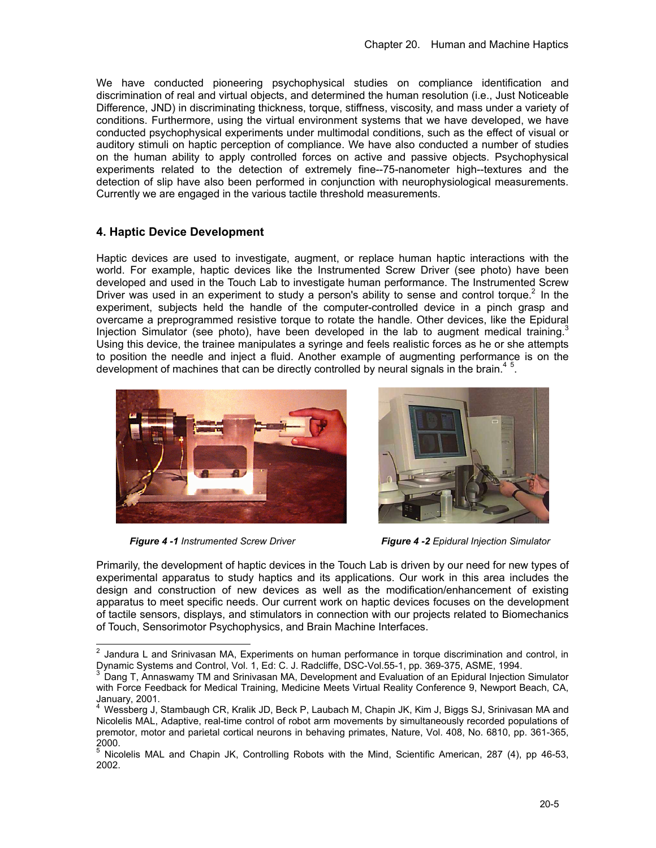We have conducted pioneering psychophysical studies on compliance identification and discrimination of real and virtual objects, and determined the human resolution (i.e., Just Noticeable Difference, JND) in discriminating thickness, torque, stiffness, viscosity, and mass under a variety of conditions. Furthermore, using the virtual environment systems that we have developed, we have conducted psychophysical experiments under multimodal conditions, such as the effect of visual or auditory stimuli on haptic perception of compliance. We have also conducted a number of studies on the human ability to apply controlled forces on active and passive objects. Psychophysical experiments related to the detection of extremely fine--75-nanometer high--textures and the detection of slip have also been performed in conjunction with neurophysiological measurements. Currently we are engaged in the various tactile threshold measurements.

## **4. Haptic Device Development**

Haptic devices are used to investigate, augment, or replace human haptic interactions with the world. For example, haptic devices like the Instrumented Screw Driver (see photo) have been developed and used in the Touch Lab to investigate human performance. The Instrumented Screw Driver was used in an experiment to study a person's ability to sense and control torque.<sup>2</sup> In the experiment, subjects held the handle of the computer-controlled device in a pinch grasp and overcame a preprogrammed resistive torque to rotate the handle. Other devices, like the Epidural Injection Simulator (see photo), have been developed in the lab to augment medical training. Using this device, the trainee manipulates a syringe and feels realistic forces as he or she attempts to position the needle and inject a fluid. Another example of augmenting performance is on the development of machines that can be directly controlled by neural signals in the brain.<sup>45</sup>.





 *Figure 4 -1 Instrumented Screw Driver Figure 4 -2 Epidural Injection Simulator* 

Primarily, the development of haptic devices in the Touch Lab is driven by our need for new types of experimental apparatus to study haptics and its applications. Our work in this area includes the design and construction of new devices as well as the modification/enhancement of existing apparatus to meet specific needs. Our current work on haptic devices focuses on the development of tactile sensors, displays, and stimulators in connection with our projects related to Biomechanics of Touch, Sensorimotor Psychophysics, and Brain Machine Interfaces.

 $^2$  Jandura L and Srinivasan MA, Experiments on human performance in torque discrimination and control, in Dynamic Systems and Control, Vol. 1, Ed: C. J. Radcliffe, DSC-Vol.55-1, pp. 369-375, ASME, 1994.

Dang T, Annaswamy TM and Srinivasan MA, Development and Evaluation of an Epidural Injection Simulator with Force Feedback for Medical Training, Medicine Meets Virtual Reality Conference 9, Newport Beach, CA, January, 2001. 4

Wessberg J, Stambaugh CR, Kralik JD, Beck P, Laubach M, Chapin JK, Kim J, Biggs SJ, Srinivasan MA and Nicolelis MAL, Adaptive, real-time control of robot arm movements by simultaneously recorded populations of premotor, motor and parietal cortical neurons in behaving primates, Nature, Vol. 408, No. 6810, pp. 361-365, 2000.

<sup>5</sup> Nicolelis MAL and Chapin JK, Controlling Robots with the Mind, Scientific American, 287 (4), pp 46-53, 2002.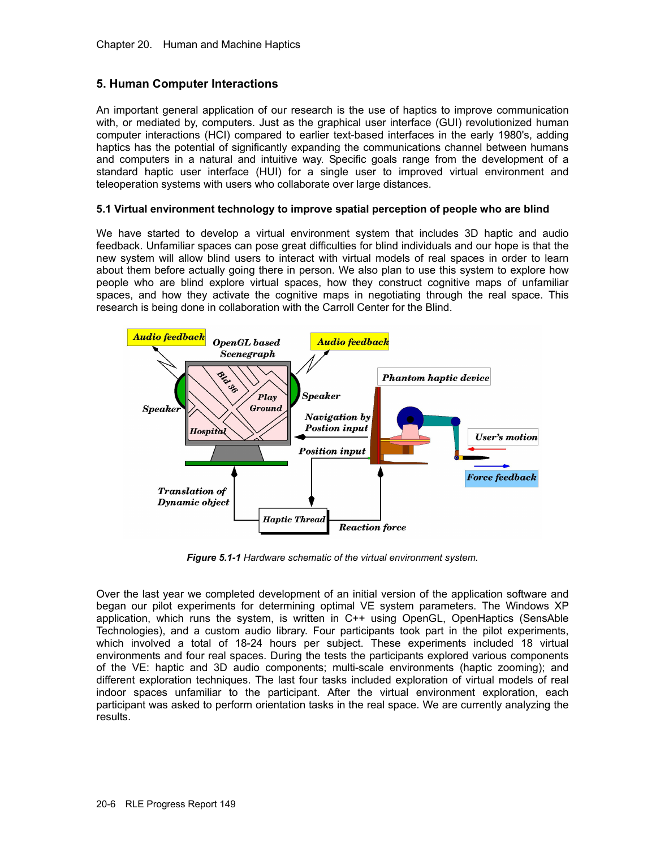### **5. Human Computer Interactions**

An important general application of our research is the use of haptics to improve communication with, or mediated by, computers. Just as the graphical user interface (GUI) revolutionized human computer interactions (HCI) compared to earlier text-based interfaces in the early 1980's, adding haptics has the potential of significantly expanding the communications channel between humans and computers in a natural and intuitive way. Specific goals range from the development of a standard haptic user interface (HUI) for a single user to improved virtual environment and teleoperation systems with users who collaborate over large distances.

### **5.1 Virtual environment technology to improve spatial perception of people who are blind**

We have started to develop a virtual environment system that includes 3D haptic and audio feedback. Unfamiliar spaces can pose great difficulties for blind individuals and our hope is that the new system will allow blind users to interact with virtual models of real spaces in order to learn about them before actually going there in person. We also plan to use this system to explore how people who are blind explore virtual spaces, how they construct cognitive maps of unfamiliar spaces, and how they activate the cognitive maps in negotiating through the real space. This research is being done in collaboration with the Carroll Center for the Blind.



*Figure 5.1-1 Hardware schematic of the virtual environment system.* 

Over the last year we completed development of an initial version of the application software and began our pilot experiments for determining optimal VE system parameters. The Windows XP application, which runs the system, is written in C++ using OpenGL, OpenHaptics (SensAble Technologies), and a custom audio library. Four participants took part in the pilot experiments, which involved a total of 18-24 hours per subject. These experiments included 18 virtual environments and four real spaces. During the tests the participants explored various components of the VE: haptic and 3D audio components; multi-scale environments (haptic zooming); and different exploration techniques. The last four tasks included exploration of virtual models of real indoor spaces unfamiliar to the participant. After the virtual environment exploration, each participant was asked to perform orientation tasks in the real space. We are currently analyzing the results.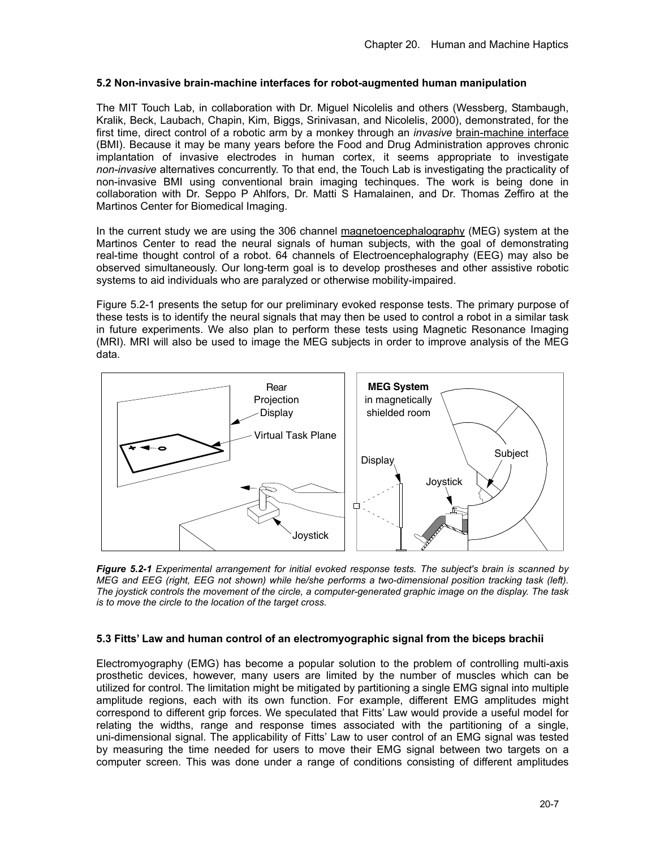### **5.2 Non-invasive brain-machine interfaces for robot-augmented human manipulation**

The MIT Touch Lab, in collaboration with Dr. Miguel Nicolelis and others (Wessberg, Stambaugh, Kralik, Beck, Laubach, Chapin, Kim, Biggs, Srinivasan, and Nicolelis, 2000), demonstrated, for the first time, direct control of a robotic arm by a monkey through an *invasive* brain-machine interface (BMI). Because it may be many years before the Food and Drug Administration approves chronic implantation of invasive electrodes in human cortex, it seems appropriate to investigate *non-invasive* alternatives concurrently. To that end, the Touch Lab is investigating the practicality of non-invasive BMI using conventional brain imaging techinques. The work is being done in collaboration with Dr. Seppo P Ahlfors, Dr. Matti S Hamalainen, and Dr. Thomas Zeffiro at the Martinos Center for Biomedical Imaging.

In the current study we are using the 306 channel magnetoencephalography (MEG) system at the Martinos Center to read the neural signals of human subjects, with the goal of demonstrating real-time thought control of a robot. 64 channels of Electroencephalography (EEG) may also be observed simultaneously. Our long-term goal is to develop prostheses and other assistive robotic systems to aid individuals who are paralyzed or otherwise mobility-impaired.

Figure 5.2-1 presents the setup for our preliminary evoked response tests. The primary purpose of these tests is to identify the neural signals that may then be used to control a robot in a similar task in future experiments. We also plan to perform these tests using Magnetic Resonance Imaging (MRI). MRI will also be used to image the MEG subjects in order to improve analysis of the MEG data.



*Figure 5.2-1 Experimental arrangement for initial evoked response tests. The subject's brain is scanned by MEG and EEG (right, EEG not shown) while he/she performs a two-dimensional position tracking task (left). The joystick controls the movement of the circle, a computer-generated graphic image on the display. The task is to move the circle to the location of the target cross.* 

### **5.3 Fitts' Law and human control of an electromyographic signal from the biceps brachii**

Electromyography (EMG) has become a popular solution to the problem of controlling multi-axis prosthetic devices, however, many users are limited by the number of muscles which can be utilized for control. The limitation might be mitigated by partitioning a single EMG signal into multiple amplitude regions, each with its own function. For example, different EMG amplitudes might correspond to different grip forces. We speculated that Fitts' Law would provide a useful model for relating the widths, range and response times associated with the partitioning of a single, uni-dimensional signal. The applicability of Fitts' Law to user control of an EMG signal was tested by measuring the time needed for users to move their EMG signal between two targets on a computer screen. This was done under a range of conditions consisting of different amplitudes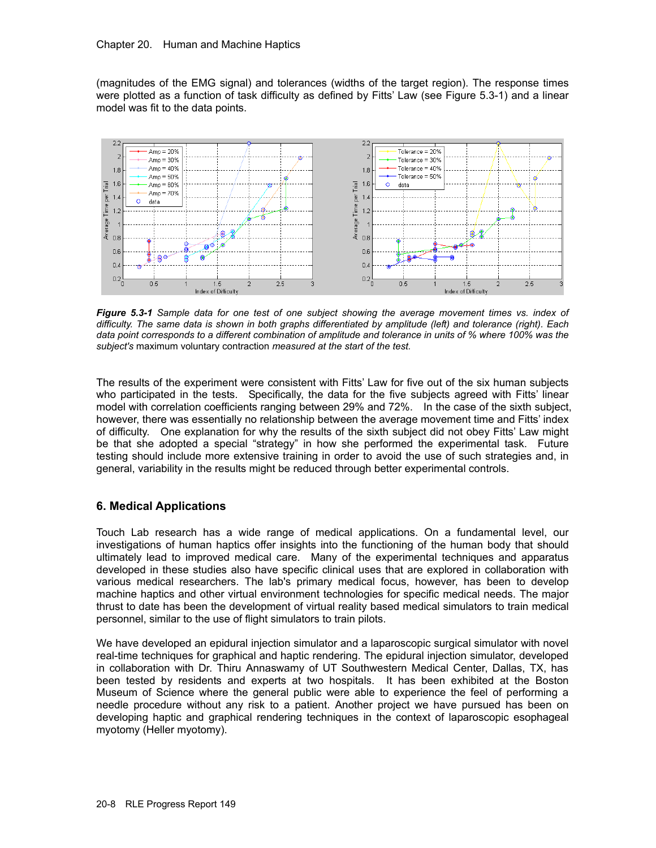### Chapter 20. Human and Machine Haptics

(magnitudes of the EMG signal) and tolerances (widths of the target region). The response times were plotted as a function of task difficulty as defined by Fitts' Law (see Figure 5.3-1) and a linear model was fit to the data points.



*Figure 5.3-1 Sample data for one test of one subject showing the average movement times vs. index of difficulty. The same data is shown in both graphs differentiated by amplitude (left) and tolerance (right). Each data point corresponds to a different combination of amplitude and tolerance in units of % where 100% was the subject's* maximum voluntary contraction *measured at the start of the test.* 

The results of the experiment were consistent with Fitts' Law for five out of the six human subjects who participated in the tests. Specifically, the data for the five subjects agreed with Fitts' linear model with correlation coefficients ranging between 29% and 72%. In the case of the sixth subject, however, there was essentially no relationship between the average movement time and Fitts' index of difficulty. One explanation for why the results of the sixth subject did not obey Fitts' Law might be that she adopted a special "strategy" in how she performed the experimental task. Future testing should include more extensive training in order to avoid the use of such strategies and, in general, variability in the results might be reduced through better experimental controls.

### **6. Medical Applications**

Touch Lab research has a wide range of medical applications. On a fundamental level, our investigations of human haptics offer insights into the functioning of the human body that should ultimately lead to improved medical care. Many of the experimental techniques and apparatus developed in these studies also have specific clinical uses that are explored in collaboration with various medical researchers. The lab's primary medical focus, however, has been to develop machine haptics and other virtual environment technologies for specific medical needs. The major thrust to date has been the development of virtual reality based medical simulators to train medical personnel, similar to the use of flight simulators to train pilots.

We have developed an epidural injection simulator and a laparoscopic surgical simulator with novel real-time techniques for graphical and haptic rendering. The epidural injection simulator, developed in collaboration with Dr. Thiru Annaswamy of UT Southwestern Medical Center, Dallas, TX, has been tested by residents and experts at two hospitals. It has been exhibited at the Boston Museum of Science where the general public were able to experience the feel of performing a needle procedure without any risk to a patient. Another project we have pursued has been on developing haptic and graphical rendering techniques in the context of laparoscopic esophageal myotomy (Heller myotomy).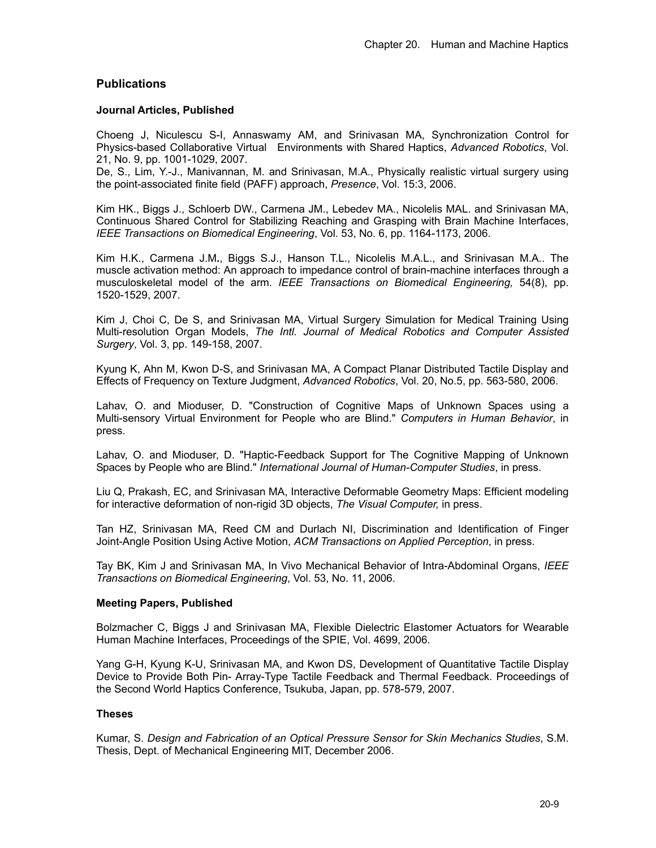### **Publications**

### **Journal Articles, Published**

Choeng J, Niculescu S-I, Annaswamy AM, and Srinivasan MA, Synchronization Control for Physics-based Collaborative Virtual Environments with Shared Haptics, *Advanced Robotics*, Vol. 21, No. 9, pp. 1001-1029, 2007.

De, S., Lim, Y.-J., Manivannan, M. and Srinivasan, M.A., Physically realistic virtual surgery using the point-associated finite field (PAFF) approach, *Presence*, Vol. 15:3, 2006.

Kim HK., Biggs J., Schloerb DW., Carmena JM., Lebedev MA., Nicolelis MAL. and Srinivasan MA, Continuous Shared Control for Stabilizing Reaching and Grasping with Brain Machine Interfaces, *IEEE Transactions on Biomedical Engineering*, Vol. 53, No. 6, pp. 1164-1173, 2006.

Kim H.K., Carmena J.M**.**, Biggs S.J., Hanson T.L., Nicolelis M.A.L., and Srinivasan M.A.. The muscle activation method: An approach to impedance control of brain-machine interfaces through a musculoskeletal model of the arm. *IEEE Transactions on Biomedical Engineering,* 54(8), pp. 1520-1529, 2007.

Kim J, Choi C, De S, and Srinivasan MA, Virtual Surgery Simulation for Medical Training Using Multi-resolution Organ Models, *The Intl. Journal of Medical Robotics and Computer Assisted Surgery*, Vol. 3, pp. 149-158, 2007.

Kyung K, Ahn M, Kwon D-S, and Srinivasan MA, A Compact Planar Distributed Tactile Display and Effects of Frequency on Texture Judgment, *Advanced Robotics*, Vol. 20, No.5, pp. 563-580, 2006.

Lahav, O. and Mioduser, D. "Construction of Cognitive Maps of Unknown Spaces using a Multi-sensory Virtual Environment for People who are Blind." *Computers in Human Behavior*, in press.

Lahav, O. and Mioduser, D. "Haptic-Feedback Support for The Cognitive Mapping of Unknown Spaces by People who are Blind." *International Journal of Human-Computer Studies*, in press.

Liu Q, Prakash, EC, and Srinivasan MA, Interactive Deformable Geometry Maps: Efficient modeling for interactive deformation of non-rigid 3D objects, *The Visual Computer,* in press.

Tan HZ, Srinivasan MA, Reed CM and Durlach NI, Discrimination and Identification of Finger Joint-Angle Position Using Active Motion, *ACM Transactions on Applied Perception*, in press.

Tay BK, Kim J and Srinivasan MA, In Vivo Mechanical Behavior of Intra-Abdominal Organs, *IEEE Transactions on Biomedical Engineering*, Vol. 53, No. 11, 2006.

### **Meeting Papers, Published**

Bolzmacher C, Biggs J and Srinivasan MA, Flexible Dielectric Elastomer Actuators for Wearable Human Machine Interfaces, Proceedings of the SPIE, Vol. 4699, 2006.

Yang G-H, Kyung K-U, Srinivasan MA, and Kwon DS, Development of Quantitative Tactile Display Device to Provide Both Pin- Array-Type Tactile Feedback and Thermal Feedback. Proceedings of the Second World Haptics Conference, Tsukuba, Japan, pp. 578-579, 2007.

### **Theses**

Kumar, S. *Design and Fabrication of an Optical Pressure Sensor for Skin Mechanics Studies*, S.M. Thesis, Dept. of Mechanical Engineering MIT, December 2006.